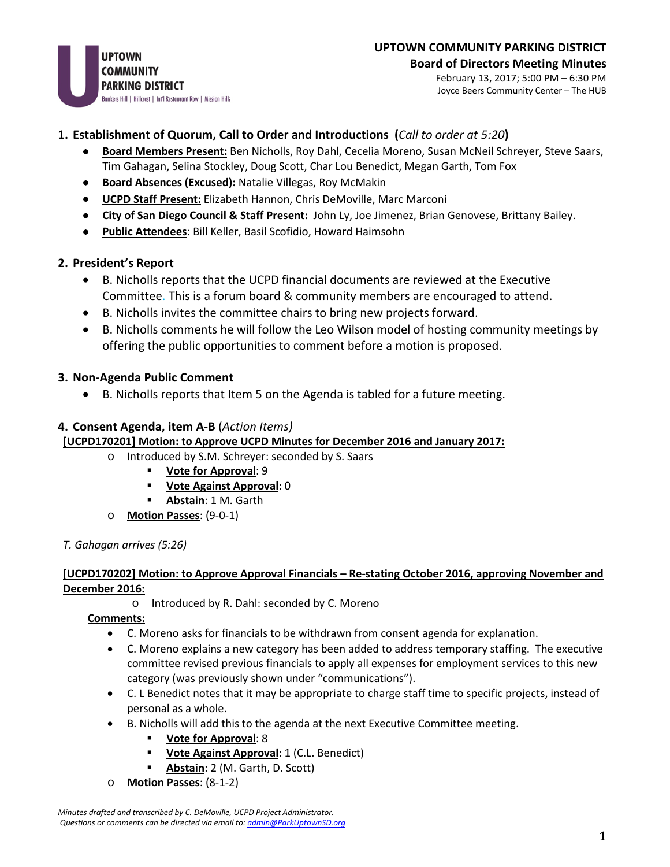February 13, 2017; 5:00 PM – 6:30 PM Joyce Beers Community Center – The HUB

### **1. Establishment of Quorum, Call to Order and Introductions (***Call to order at 5:20***)**

- **Board Members Present:** Ben Nicholls, Roy Dahl, Cecelia Moreno, Susan McNeil Schreyer, Steve Saars, Tim Gahagan, Selina Stockley, Doug Scott, Char Lou Benedict, Megan Garth, Tom Fox
- **Board Absences (Excused):** Natalie Villegas, Roy McMakin
- **UCPD Staff Present:** Elizabeth Hannon, Chris DeMoville, Marc Marconi
- **City of San Diego Council & Staff Present:** John Ly, Joe Jimenez, Brian Genovese, Brittany Bailey.
- **Public Attendees**: Bill Keller, Basil Scofidio, Howard Haimsohn

### **2. President's Report**

- B. Nicholls reports that the UCPD financial documents are reviewed at the Executive Committee. This is a forum board & community members are encouraged to attend.
- B. Nicholls invites the committee chairs to bring new projects forward.
- B. Nicholls comments he will follow the Leo Wilson model of hosting community meetings by offering the public opportunities to comment before a motion is proposed.

### **3. Non-Agenda Public Comment**

• B. Nicholls reports that Item 5 on the Agenda is tabled for a future meeting.

### **4. Consent Agenda, item A-B** (*Action Items)*

### **[UCPD170201] Motion: to Approve UCPD Minutes for December 2016 and January 2017:**

- o Introduced by S.M. Schreyer: seconded by S. Saars
	- **Vote for Approval**: 9
		- **Vote Against Approval**: 0
	- **Abstain**: 1 M. Garth
- o **Motion Passes**: (9-0-1)
- *T. Gahagan arrives (5:26)*

### **[UCPD170202] Motion: to Approve Approval Financials – Re-stating October 2016, approving November and December 2016:**

o Introduced by R. Dahl: seconded by C. Moreno

### **Comments:**

- C. Moreno asks for financials to be withdrawn from consent agenda for explanation.
- C. Moreno explains a new category has been added to address temporary staffing. The executive committee revised previous financials to apply all expenses for employment services to this new category (was previously shown under "communications").
- C. L Benedict notes that it may be appropriate to charge staff time to specific projects, instead of personal as a whole.
- B. Nicholls will add this to the agenda at the next Executive Committee meeting.
	- **Vote for Approval**: 8
	- **Vote Against Approval:** 1 (C.L. Benedict)
	- **Abstain**: 2 (M. Garth, D. Scott)
- o **Motion Passes**: (8-1-2)

*Minutes drafted and transcribed by C. DeMoville, UCPD Project Administrator. Questions or comments can be directed via email to: [admin@ParkUptownSD.org](mailto:admin@ParkUptownSD.org)*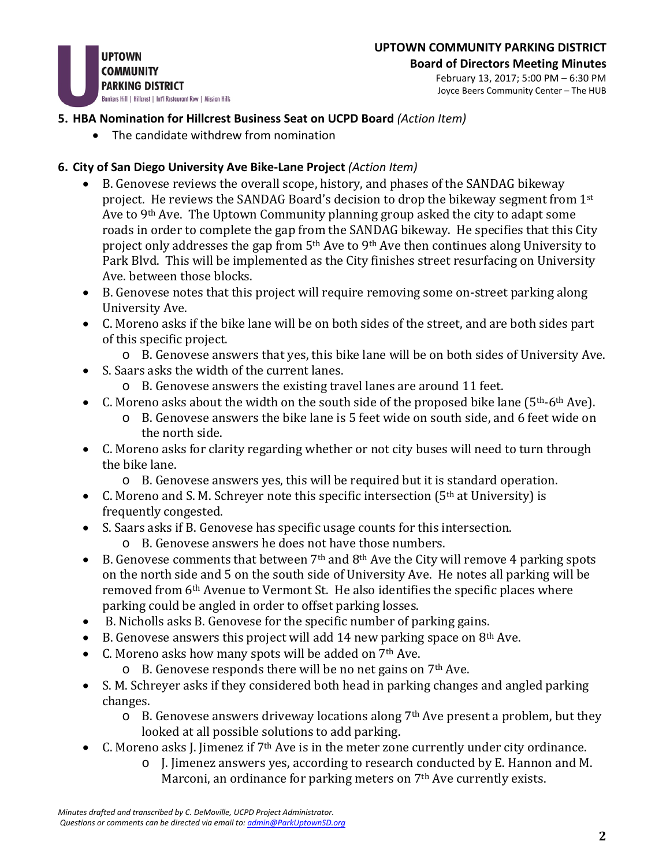

## **UPTOWN COMMUNITY PARKING DISTRICT**

**Board of Directors Meeting Minutes** February 13, 2017; 5:00 PM – 6:30 PM Joyce Beers Community Center – The HUB

### **5. HBA Nomination for Hillcrest Business Seat on UCPD Board** *(Action Item)*

• The candidate withdrew from nomination

### **6. City of San Diego University Ave Bike-Lane Project** *(Action Item)*

- B. Genovese reviews the overall scope, history, and phases of the SANDAG bikeway project. He reviews the SANDAG Board's decision to drop the bikeway segment from  $1<sup>st</sup>$ Ave to 9<sup>th</sup> Ave. The Uptown Community planning group asked the city to adapt some roads in order to complete the gap from the SANDAG bikeway. He specifies that this City project only addresses the gap from 5<sup>th</sup> Ave to 9<sup>th</sup> Ave then continues along University to Park Blvd. This will be implemented as the City finishes street resurfacing on University Ave. between those blocks.
- B. Genovese notes that this project will require removing some on-street parking along University Ave.
- C. Moreno asks if the bike lane will be on both sides of the street, and are both sides part of this specific project.
	- o B. Genovese answers that yes, this bike lane will be on both sides of University Ave.
- S. Saars asks the width of the current lanes.
	- o B. Genovese answers the existing travel lanes are around 11 feet.
- C. Moreno asks about the width on the south side of the proposed bike lane  $(5<sup>th</sup>-6<sup>th</sup> Ave)$ .
	- o B. Genovese answers the bike lane is 5 feet wide on south side, and 6 feet wide on the north side.
- C. Moreno asks for clarity regarding whether or not city buses will need to turn through the bike lane.
	- o B. Genovese answers yes, this will be required but it is standard operation.
- C. Moreno and S. M. Schreyer note this specific intersection ( $5<sup>th</sup>$  at University) is frequently congested.
- S. Saars asks if B. Genovese has specific usage counts for this intersection.
	- o B. Genovese answers he does not have those numbers.
- B. Genovese comments that between  $7<sup>th</sup>$  and  $8<sup>th</sup>$  Ave the City will remove 4 parking spots on the north side and 5 on the south side of University Ave. He notes all parking will be removed from 6<sup>th</sup> Avenue to Vermont St. He also identifies the specific places where parking could be angled in order to offset parking losses.
- B. Nicholls asks B. Genovese for the specific number of parking gains.
- B. Genovese answers this project will add 14 new parking space on  $8<sup>th</sup>$  Ave.
- C. Moreno asks how many spots will be added on 7<sup>th</sup> Ave.
	- $\circ$  B. Genovese responds there will be no net gains on 7<sup>th</sup> Ave.
- S. M. Schreyer asks if they considered both head in parking changes and angled parking changes.
	- $\circ$  B. Genovese answers driveway locations along 7<sup>th</sup> Ave present a problem, but they looked at all possible solutions to add parking.
- C. Moreno asks J. Jimenez if 7<sup>th</sup> Ave is in the meter zone currently under city ordinance.
	- o J. Jimenez answers yes, according to research conducted by E. Hannon and M. Marconi, an ordinance for parking meters on 7<sup>th</sup> Ave currently exists.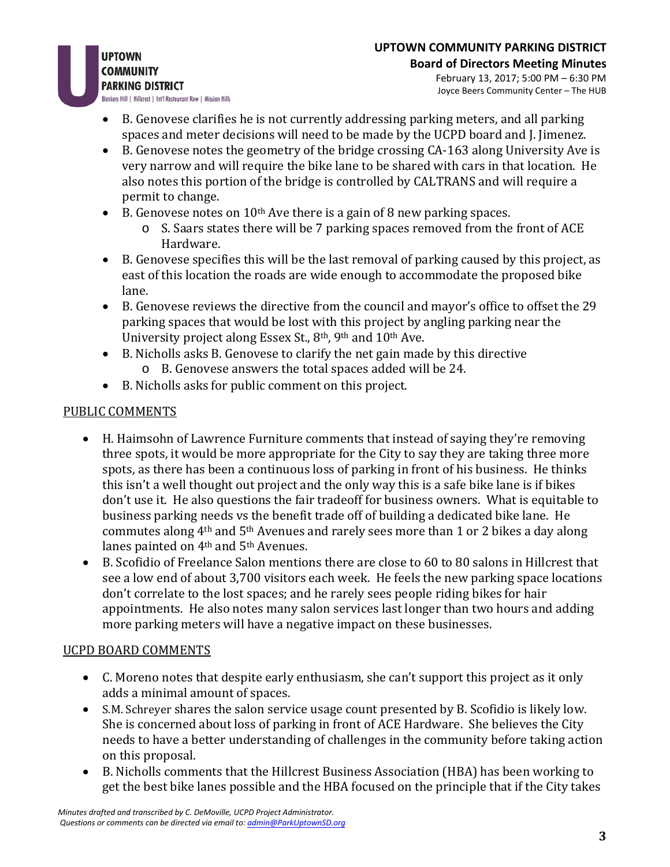- **UPTOWN COMMUNITY PARKING DISTRICT** Bankers Hill | Hillcrest | Int'l Restaurant Row | Mission Hills
	- B. Genovese clarifies he is not currently addressing parking meters, and all parking spaces and meter decisions will need to be made by the UCPD board and J. Jimenez.
	- B. Genovese notes the geometry of the bridge crossing CA-163 along University Ave is very narrow and will require the bike lane to be shared with cars in that location. He also notes this portion of the bridge is controlled by CALTRANS and will require a permit to change.
	- B. Genovese notes on  $10<sup>th</sup>$  Ave there is a gain of 8 new parking spaces.
		- o S. Saars states there will be 7 parking spaces removed from the front of ACE Hardware.
	- B. Genovese specifies this will be the last removal of parking caused by this project, as east of this location the roads are wide enough to accommodate the proposed bike lane.
	- B. Genovese reviews the directive from the council and mayor's office to offset the 29 parking spaces that would be lost with this project by angling parking near the University project along Essex St., 8th, 9th and 10th Ave.
	- B. Nicholls asks B. Genovese to clarify the net gain made by this directive o B. Genovese answers the total spaces added will be 24.
	- B. Nicholls asks for public comment on this project.

# PUBLIC COMMENTS

- H. Haimsohn of Lawrence Furniture comments that instead of saying they're removing three spots, it would be more appropriate for the City to say they are taking three more spots, as there has been a continuous loss of parking in front of his business. He thinks this isn't a well thought out project and the only way this is a safe bike lane is if bikes don't use it. He also questions the fair tradeoff for business owners. What is equitable to business parking needs vs the benefit trade off of building a dedicated bike lane. He commutes along 4th and 5th Avenues and rarely sees more than 1 or 2 bikes a day along lanes painted on 4<sup>th</sup> and 5<sup>th</sup> Avenues.
- B. Scofidio of Freelance Salon mentions there are close to 60 to 80 salons in Hillcrest that see a low end of about 3,700 visitors each week. He feels the new parking space locations don't correlate to the lost spaces; and he rarely sees people riding bikes for hair appointments. He also notes many salon services last longer than two hours and adding more parking meters will have a negative impact on these businesses.

## UCPD BOARD COMMENTS

- C. Moreno notes that despite early enthusiasm, she can't support this project as it only adds a minimal amount of spaces.
- S.M. Schreyer shares the salon service usage count presented by B. Scofidio is likely low. She is concerned about loss of parking in front of ACE Hardware. She believes the City needs to have a better understanding of challenges in the community before taking action on this proposal.
- B. Nicholls comments that the Hillcrest Business Association (HBA) has been working to get the best bike lanes possible and the HBA focused on the principle that if the City takes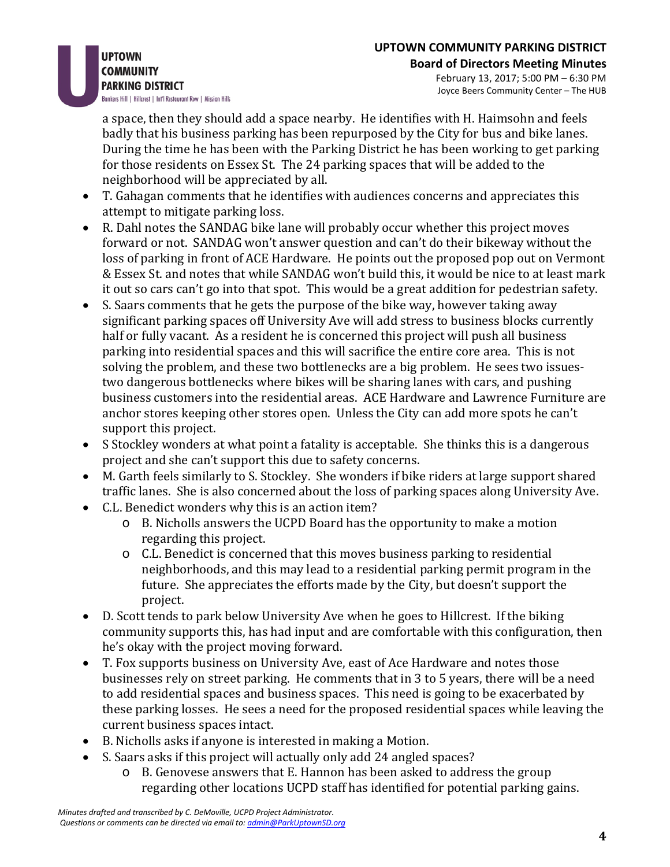**UPTOWN COMMUNITY PARKING DISTRICT** Bankers Hill | Hillcrest | Int'l Restaurant Row | Mission Hills

> a space, then they should add a space nearby. He identifies with H. Haimsohn and feels badly that his business parking has been repurposed by the City for bus and bike lanes. During the time he has been with the Parking District he has been working to get parking for those residents on Essex St. The 24 parking spaces that will be added to the neighborhood will be appreciated by all.

- T. Gahagan comments that he identifies with audiences concerns and appreciates this attempt to mitigate parking loss.
- R. Dahl notes the SANDAG bike lane will probably occur whether this project moves forward or not. SANDAG won't answer question and can't do their bikeway without the loss of parking in front of ACE Hardware. He points out the proposed pop out on Vermont & Essex St. and notes that while SANDAG won't build this, it would be nice to at least mark it out so cars can't go into that spot. This would be a great addition for pedestrian safety.
- S. Saars comments that he gets the purpose of the bike way, however taking away significant parking spaces off University Ave will add stress to business blocks currently half or fully vacant. As a resident he is concerned this project will push all business parking into residential spaces and this will sacrifice the entire core area. This is not solving the problem, and these two bottlenecks are a big problem. He sees two issuestwo dangerous bottlenecks where bikes will be sharing lanes with cars, and pushing business customers into the residential areas. ACE Hardware and Lawrence Furniture are anchor stores keeping other stores open. Unless the City can add more spots he can't support this project.
- S Stockley wonders at what point a fatality is acceptable. She thinks this is a dangerous project and she can't support this due to safety concerns.
- M. Garth feels similarly to S. Stockley. She wonders if bike riders at large support shared traffic lanes. She is also concerned about the loss of parking spaces along University Ave.
- C.L. Benedict wonders why this is an action item?
	- o B. Nicholls answers the UCPD Board has the opportunity to make a motion regarding this project.
	- o C.L. Benedict is concerned that this moves business parking to residential neighborhoods, and this may lead to a residential parking permit program in the future. She appreciates the efforts made by the City, but doesn't support the project.
- D. Scott tends to park below University Ave when he goes to Hillcrest. If the biking community supports this, has had input and are comfortable with this configuration, then he's okay with the project moving forward.
- T. Fox supports business on University Ave, east of Ace Hardware and notes those businesses rely on street parking. He comments that in 3 to 5 years, there will be a need to add residential spaces and business spaces. This need is going to be exacerbated by these parking losses. He sees a need for the proposed residential spaces while leaving the current business spaces intact.
- B. Nicholls asks if anyone is interested in making a Motion.
- S. Saars asks if this project will actually only add 24 angled spaces?
	- o B. Genovese answers that E. Hannon has been asked to address the group regarding other locations UCPD staff has identified for potential parking gains.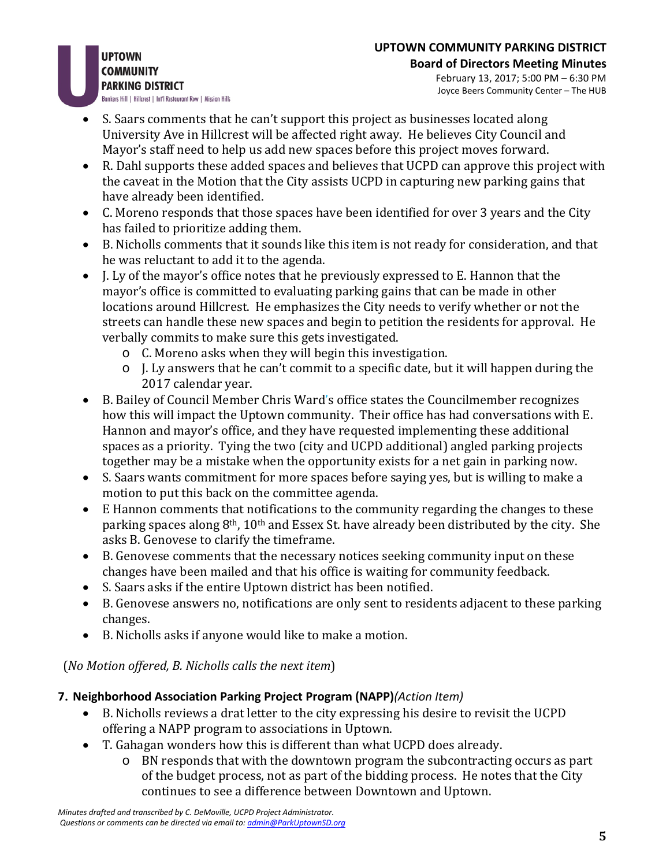**UPTOWN COMMUNITY PARKING DISTRICT** Bankers Hill | Hillcrest | Int'l Restaurant Row | Mission Hills

#### **Board of Directors Meeting Minutes** February 13, 2017; 5:00 PM – 6:30 PM Joyce Beers Community Center – The HUB

- S. Saars comments that he can't support this project as businesses located along University Ave in Hillcrest will be affected right away. He believes City Council and Mayor's staff need to help us add new spaces before this project moves forward.
- R. Dahl supports these added spaces and believes that UCPD can approve this project with the caveat in the Motion that the City assists UCPD in capturing new parking gains that have already been identified.
- C. Moreno responds that those spaces have been identified for over 3 years and the City has failed to prioritize adding them.
- B. Nicholls comments that it sounds like this item is not ready for consideration, and that he was reluctant to add it to the agenda.
- J. Ly of the mayor's office notes that he previously expressed to E. Hannon that the mayor's office is committed to evaluating parking gains that can be made in other locations around Hillcrest. He emphasizes the City needs to verify whether or not the streets can handle these new spaces and begin to petition the residents for approval. He verbally commits to make sure this gets investigated.
	- o C. Moreno asks when they will begin this investigation.
	- o J. Ly answers that he can't commit to a specific date, but it will happen during the 2017 calendar year.
- B. Bailey of Council Member Chris Ward's office states the Councilmember recognizes how this will impact the Uptown community. Their office has had conversations with E. Hannon and mayor's office, and they have requested implementing these additional spaces as a priority. Tying the two (city and UCPD additional) angled parking projects together may be a mistake when the opportunity exists for a net gain in parking now.
- S. Saars wants commitment for more spaces before saying yes, but is willing to make a motion to put this back on the committee agenda.
- E Hannon comments that notifications to the community regarding the changes to these parking spaces along 8th, 10th and Essex St. have already been distributed by the city. She asks B. Genovese to clarify the timeframe.
- B. Genovese comments that the necessary notices seeking community input on these changes have been mailed and that his office is waiting for community feedback.
- S. Saars asks if the entire Uptown district has been notified.
- B. Genovese answers no, notifications are only sent to residents adjacent to these parking changes.
- B. Nicholls asks if anyone would like to make a motion.

(*No Motion offered, B. Nicholls calls the next item*)

# **7. Neighborhood Association Parking Project Program (NAPP)***(Action Item)*

- B. Nicholls reviews a drat letter to the city expressing his desire to revisit the UCPD offering a NAPP program to associations in Uptown.
- T. Gahagan wonders how this is different than what UCPD does already.
	- o BN responds that with the downtown program the subcontracting occurs as part of the budget process, not as part of the bidding process. He notes that the City continues to see a difference between Downtown and Uptown.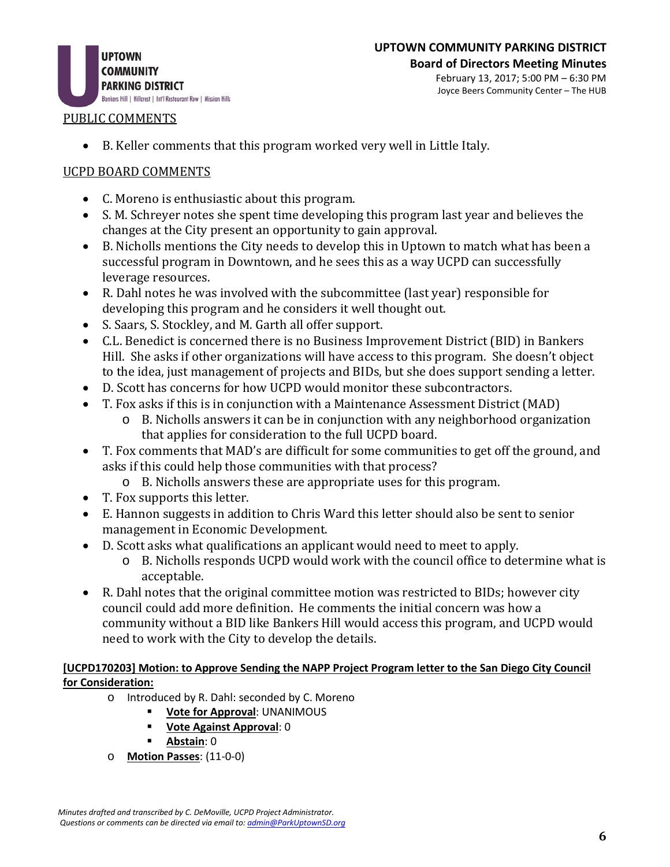

# **UPTOWN COMMUNITY PARKING DISTRICT**

**Board of Directors Meeting Minutes** February 13, 2017; 5:00 PM – 6:30 PM Joyce Beers Community Center – The HUB

### PUBLIC COMMENTS

• B. Keller comments that this program worked very well in Little Italy.

### UCPD BOARD COMMENTS

- C. Moreno is enthusiastic about this program.
- S. M. Schreyer notes she spent time developing this program last year and believes the changes at the City present an opportunity to gain approval.
- B. Nicholls mentions the City needs to develop this in Uptown to match what has been a successful program in Downtown, and he sees this as a way UCPD can successfully leverage resources.
- R. Dahl notes he was involved with the subcommittee (last year) responsible for developing this program and he considers it well thought out.
- S. Saars, S. Stockley, and M. Garth all offer support.
- C.L. Benedict is concerned there is no Business Improvement District (BID) in Bankers Hill. She asks if other organizations will have access to this program. She doesn't object to the idea, just management of projects and BIDs, but she does support sending a letter.
- D. Scott has concerns for how UCPD would monitor these subcontractors.
- T. Fox asks if this is in conjunction with a Maintenance Assessment District (MAD)
	- o B. Nicholls answers it can be in conjunction with any neighborhood organization that applies for consideration to the full UCPD board.
- T. Fox comments that MAD's are difficult for some communities to get off the ground, and asks if this could help those communities with that process?
	- o B. Nicholls answers these are appropriate uses for this program.
- T. Fox supports this letter.
- E. Hannon suggests in addition to Chris Ward this letter should also be sent to senior management in Economic Development.
- D. Scott asks what qualifications an applicant would need to meet to apply.<br>
o B. Nicholls responds UCPD would work with the council office to det
	- B. Nicholls responds UCPD would work with the council office to determine what is acceptable.
- R. Dahl notes that the original committee motion was restricted to BIDs; however city council could add more definition. He comments the initial concern was how a community without a BID like Bankers Hill would access this program, and UCPD would need to work with the City to develop the details.

### **[UCPD170203] Motion: to Approve Sending the NAPP Project Program letter to the San Diego City Council for Consideration:**

- o Introduced by R. Dahl: seconded by C. Moreno<br> **Vote for Approval: UNANIMOUS** 
	- **Vote for Approval**: UNANIMOUS
	- **Vote Against Approval**: 0
	- **Abstain**: 0
- o **Motion Passes**: (11-0-0)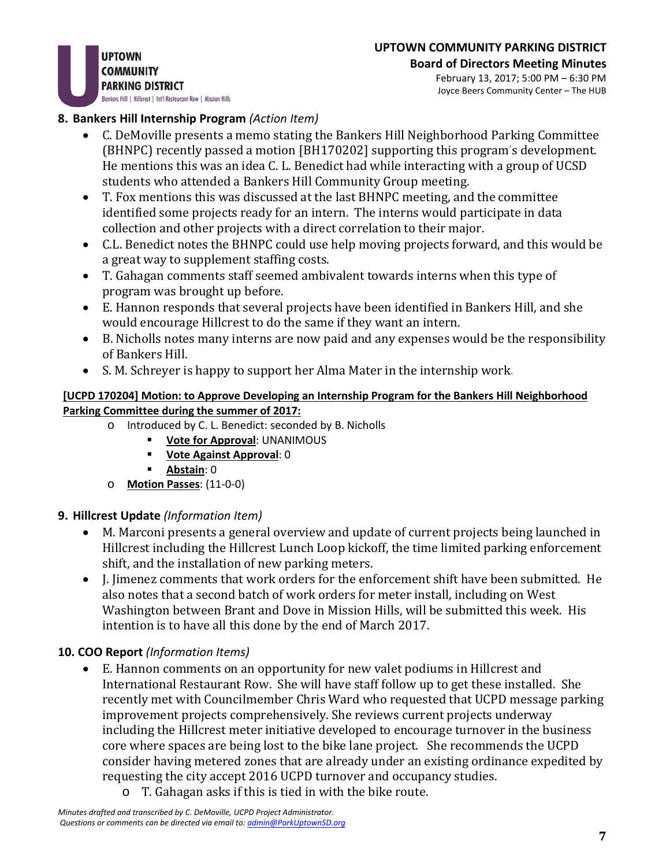**UPTOWN COMMUNITY PARKING DISTRICT** Bankers Hill | Hillcrest | Int'l Restaurant Row | Mission Hills

#### **Board of Directors Meeting Minutes** February 13, 2017; 5:00 PM – 6:30 PM Joyce Beers Community Center – The HUB

## **8. Bankers Hill Internship Program** *(Action Item)*

- C. DeMoville presents a memo stating the Bankers Hill Neighborhood Parking Committee (BHNPC) recently passed a motion [BH170202] supporting this program's development. He mentions this was an idea C. L. Benedict had while interacting with a group of UCSD students who attended a Bankers Hill Community Group meeting.
- T. Fox mentions this was discussed at the last BHNPC meeting, and the committee identified some projects ready for an intern. The interns would participate in data collection and other projects with a direct correlation to their major.
- C.L. Benedict notes the BHNPC could use help moving projects forward, and this would be a great way to supplement staffing costs.
- T. Gahagan comments staff seemed ambivalent towards interns when this type of program was brought up before.
- E. Hannon responds that several projects have been identified in Bankers Hill, and she would encourage Hillcrest to do the same if they want an intern.
- B. Nicholls notes many interns are now paid and any expenses would be the responsibility of Bankers Hill.
- S. M. Schreyer is happy to support her Alma Mater in the internship work.

### **[UCPD 170204] Motion: to Approve Developing an Internship Program for the Bankers Hill Neighborhood Parking Committee during the summer of 2017:**

- o Introduced by C. L. Benedict: seconded by B. Nicholls
	- **Vote for Approval**: UNANIMOUS
	- **Vote Against Approval**: 0
	- **Abstain**: 0
- o **Motion Passes**: (11-0-0)

## **9. Hillcrest Update** *(Information Item)*

- M. Marconi presents a general overview and update of current projects being launched in Hillcrest including the Hillcrest Lunch Loop kickoff, the time limited parking enforcement shift, and the installation of new parking meters.
- J. Jimenez comments that work orders for the enforcement shift have been submitted. He also notes that a second batch of work orders for meter install, including on West Washington between Brant and Dove in Mission Hills, will be submitted this week. His intention is to have all this done by the end of March 2017.

## **10. COO Report** *(Information Items)*

- E. Hannon comments on an opportunity for new valet podiums in Hillcrest and International Restaurant Row. She will have staff follow up to get these installed. She recently met with Councilmember Chris Ward who requested that UCPD message parking improvement projects comprehensively. She reviews current projects underway including the Hillcrest meter initiative developed to encourage turnover in the business core where spaces are being lost to the bike lane project. She recommends the UCPD consider having metered zones that are already under an existing ordinance expedited by requesting the city accept 2016 UCPD turnover and occupancy studies.
	- o T. Gahagan asks if this is tied in with the bike route.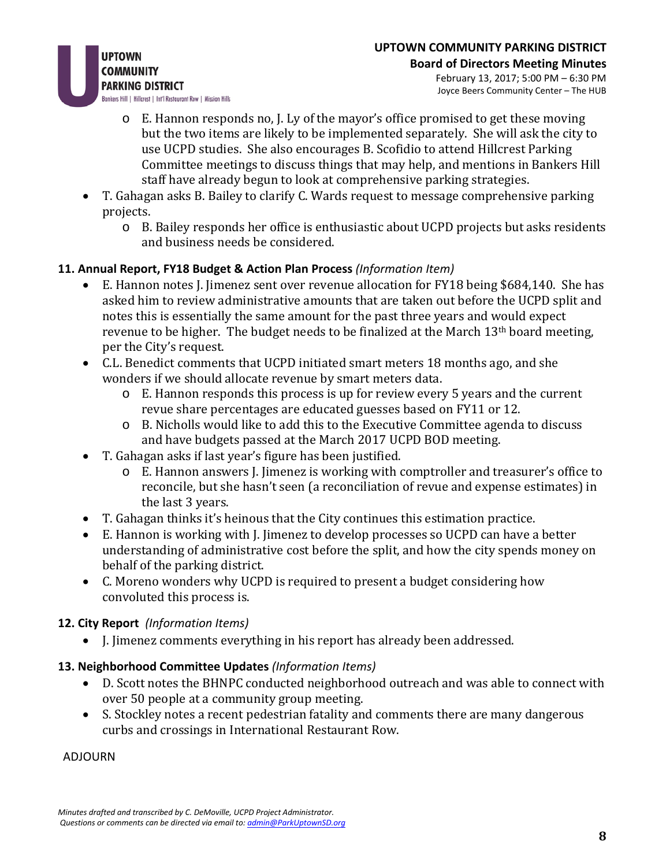

- $\circ$  E. Hannon responds no, I. Ly of the mayor's office promised to get these moving but the two items are likely to be implemented separately. She will ask the city to use UCPD studies. She also encourages B. Scofidio to attend Hillcrest Parking Committee meetings to discuss things that may help, and mentions in Bankers Hill staff have already begun to look at comprehensive parking strategies.
- T. Gahagan asks B. Bailey to clarify C. Wards request to message comprehensive parking projects.
	- o B. Bailey responds her office is enthusiastic about UCPD projects but asks residents and business needs be considered.

# **11. Annual Report, FY18 Budget & Action Plan Process** *(Information Item)*

- E. Hannon notes J. Jimenez sent over revenue allocation for FY18 being \$684,140. She has asked him to review administrative amounts that are taken out before the UCPD split and notes this is essentially the same amount for the past three years and would expect revenue to be higher. The budget needs to be finalized at the March 13<sup>th</sup> board meeting, per the City's request.
- C.L. Benedict comments that UCPD initiated smart meters 18 months ago, and she wonders if we should allocate revenue by smart meters data.
	- o E. Hannon responds this process is up for review every 5 years and the current revue share percentages are educated guesses based on FY11 or 12.
	- o B. Nicholls would like to add this to the Executive Committee agenda to discuss and have budgets passed at the March 2017 UCPD BOD meeting.
- T. Gahagan asks if last year's figure has been justified.
	- o E. Hannon answers J. Jimenez is working with comptroller and treasurer's office to reconcile, but she hasn't seen (a reconciliation of revue and expense estimates) in the last 3 years.
- T. Gahagan thinks it's heinous that the City continues this estimation practice.
- E. Hannon is working with J. Jimenez to develop processes so UCPD can have a better understanding of administrative cost before the split, and how the city spends money on behalf of the parking district.
- C. Moreno wonders why UCPD is required to present a budget considering how convoluted this process is.

## **12. City Report** *(Information Items)*

• J. Jimenez comments everything in his report has already been addressed.

## **13. Neighborhood Committee Updates** *(Information Items)*

- D. Scott notes the BHNPC conducted neighborhood outreach and was able to connect with over 50 people at a community group meeting.
- S. Stockley notes a recent pedestrian fatality and comments there are many dangerous curbs and crossings in International Restaurant Row.

ADJOURN